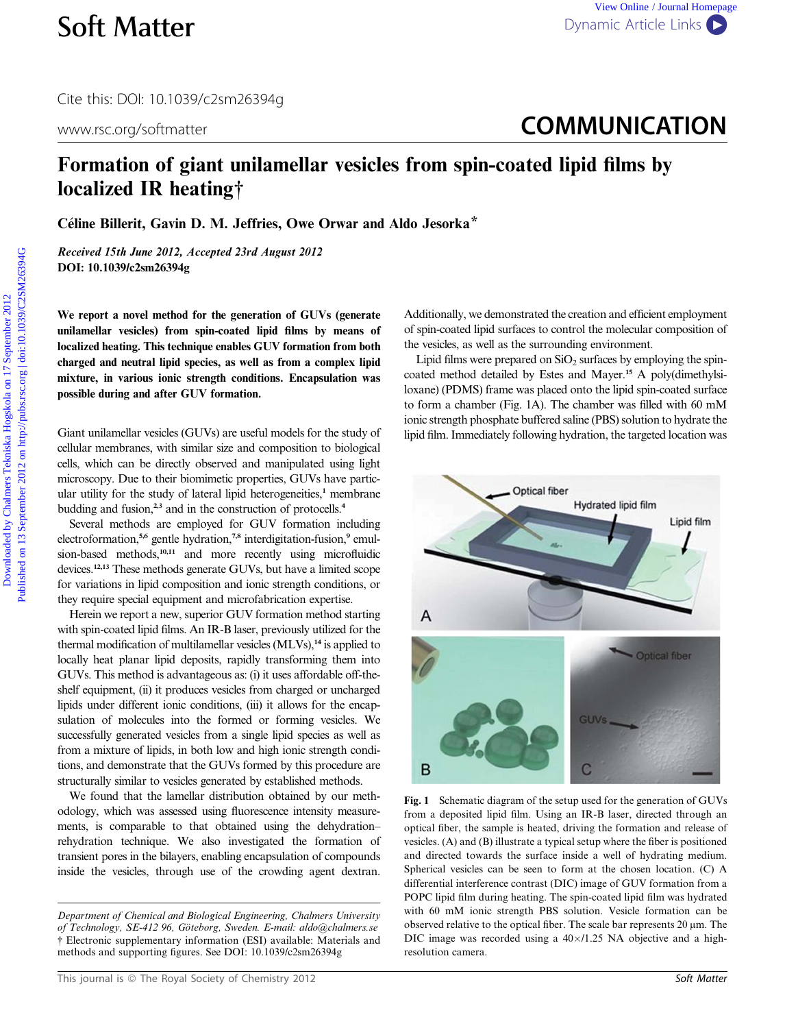## www.rsc.org/softmatter **COMMUNICATION**

## Formation of giant unilamellar vesicles from spin-coated lipid films by localized IR heating†

Celine Billerit, Gavin D. M. Jeffries, Owe Orwar and Aldo Jesorka\*

Received 15th June 2012, Accepted 23rd August 2012 DOI: 10.1039/c2sm26394g

We report a novel method for the generation of GUVs (generate unilamellar vesicles) from spin-coated lipid films by means of localized heating. This technique enables GUV formation from both charged and neutral lipid species, as well as from a complex lipid mixture, in various ionic strength conditions. Encapsulation was possible during and after GUV formation.

Giant unilamellar vesicles (GUVs) are useful models for the study of cellular membranes, with similar size and composition to biological cells, which can be directly observed and manipulated using light microscopy. Due to their biomimetic properties, GUVs have particular utility for the study of lateral lipid heterogeneities,<sup>1</sup> membrane budding and fusion,<sup>2,3</sup> and in the construction of protocells.<sup>4</sup>

Several methods are employed for GUV formation including electroformation,<sup>5,6</sup> gentle hydration,<sup>7,8</sup> interdigitation-fusion,<sup>9</sup> emulsion-based methods,<sup>10,11</sup> and more recently using microfluidic devices.12,13 These methods generate GUVs, but have a limited scope for variations in lipid composition and ionic strength conditions, or they require special equipment and microfabrication expertise.

Herein we report a new, superior GUV formation method starting with spin-coated lipid films. An IR-B laser, previously utilized for the thermal modification of multilamellar vesicles (MLVs),<sup>14</sup> is applied to locally heat planar lipid deposits, rapidly transforming them into GUVs. This method is advantageous as: (i) it uses affordable off-theshelf equipment, (ii) it produces vesicles from charged or uncharged lipids under different ionic conditions, (iii) it allows for the encapsulation of molecules into the formed or forming vesicles. We successfully generated vesicles from a single lipid species as well as from a mixture of lipids, in both low and high ionic strength conditions, and demonstrate that the GUVs formed by this procedure are structurally similar to vesicles generated by established methods.

We found that the lamellar distribution obtained by our methodology, which was assessed using fluorescence intensity measurements, is comparable to that obtained using the dehydration– rehydration technique. We also investigated the formation of transient pores in the bilayers, enabling encapsulation of compounds inside the vesicles, through use of the crowding agent dextran.

Additionally, we demonstrated the creation and efficient employment of spin-coated lipid surfaces to control the molecular composition of the vesicles, as well as the surrounding environment.

Lipid films were prepared on  $SiO<sub>2</sub>$  surfaces by employing the spincoated method detailed by Estes and Mayer.<sup>15</sup> A poly(dimethylsiloxane) (PDMS) frame was placed onto the lipid spin-coated surface to form a chamber (Fig. 1A). The chamber was filled with 60 mM ionic strength phosphate buffered saline (PBS) solution to hydrate the lipid film. Immediately following hydration, the targeted location was



Fig. 1 Schematic diagram of the setup used for the generation of GUVs from a deposited lipid film. Using an IR-B laser, directed through an optical fiber, the sample is heated, driving the formation and release of vesicles. (A) and (B) illustrate a typical setup where the fiber is positioned and directed towards the surface inside a well of hydrating medium. Spherical vesicles can be seen to form at the chosen location. (C) A differential interference contrast (DIC) image of GUV formation from a POPC lipid film during heating. The spin-coated lipid film was hydrated with 60 mM ionic strength PBS solution. Vesicle formation can be observed relative to the optical fiber. The scale bar represents 20 µm. The DIC image was recorded using a  $40\times/1.25$  NA objective and a highresolution camera.

Department of Chemical and Biological Engineering, Chalmers University of Technology, SE-412 96, Göteborg, Sweden. E-mail: aldo@chalmers.se † Electronic supplementary information (ESI) available: Materials and methods and supporting figures. See DOI: 10.1039/c2sm26394g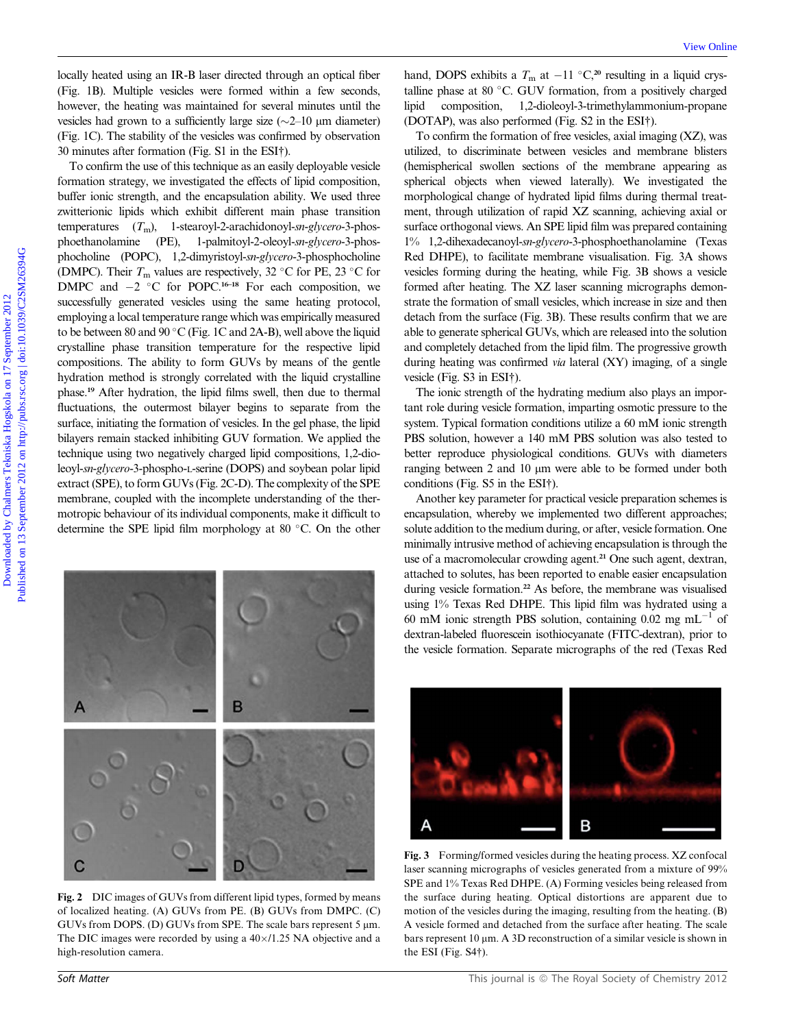locally heated using an IR-B laser directed through an optical fiber (Fig. 1B). Multiple vesicles were formed within a few seconds, however, the heating was maintained for several minutes until the vesicles had grown to a sufficiently large size  $(\sim 2-10 \text{ }\mu\text{m} \text{ diameter})$ (Fig. 1C). The stability of the vesicles was confirmed by observation 30 minutes after formation (Fig. S1 in the ESI†).

To confirm the use of this technique as an easily deployable vesicle formation strategy, we investigated the effects of lipid composition, buffer ionic strength, and the encapsulation ability. We used three zwitterionic lipids which exhibit different main phase transition temperatures  $(T_m)$ , 1-stearoyl-2-arachidonoyl-sn-glycero-3-phosphoethanolamine (PE), 1-palmitoyl-2-oleoyl-sn-glycero-3-phosphocholine (POPC), 1,2-dimyristoyl-sn-glycero-3-phosphocholine (DMPC). Their  $T_m$  values are respectively, 32 °C for PE, 23 °C for DMPC and  $-2$  °C for POPC.<sup>16–18</sup> For each composition, we successfully generated vesicles using the same heating protocol, employing a local temperature range which was empirically measured to be between 80 and 90 °C (Fig. 1C and 2A-B), well above the liquid crystalline phase transition temperature for the respective lipid compositions. The ability to form GUVs by means of the gentle hydration method is strongly correlated with the liquid crystalline phase.<sup>19</sup> After hydration, the lipid films swell, then due to thermal fluctuations, the outermost bilayer begins to separate from the surface, initiating the formation of vesicles. In the gel phase, the lipid bilayers remain stacked inhibiting GUV formation. We applied the technique using two negatively charged lipid compositions, 1,2-dioleoyl-sn-glycero-3-phospho-L-serine (DOPS) and soybean polar lipid extract (SPE), to form GUVs (Fig. 2C-D). The complexity of the SPE membrane, coupled with the incomplete understanding of the thermotropic behaviour of its individual components, make it difficult to determine the SPE lipid film morphology at 80 $\degree$ C. On the other books, books an IR-B has disocal drough an optical fore hand, DOPS exhibits  $I_{\alpha}$  at -11 °CP coaling in Figure 2012 published coalitions Figure 2012 Published on 13 CHV formations Figure 2012 Published and possible and



Fig. 2 DIC images of GUVs from different lipid types, formed by means of localized heating. (A) GUVs from PE. (B) GUVs from DMPC. (C) GUVs from DOPS. (D) GUVs from SPE. The scale bars represent 5 µm. The DIC images were recorded by using a  $40\times/1.25$  NA objective and a high-resolution camera.

hand, DOPS exhibits a  $T_m$  at  $-11 \degree C$ ,<sup>20</sup> resulting in a liquid crystalline phase at 80 $\degree$ C. GUV formation, from a positively charged lipid composition, 1,2-dioleoyl-3-trimethylammonium-propane (DOTAP), was also performed (Fig. S2 in the ESI†).

To confirm the formation of free vesicles, axial imaging (XZ), was utilized, to discriminate between vesicles and membrane blisters (hemispherical swollen sections of the membrane appearing as spherical objects when viewed laterally). We investigated the morphological change of hydrated lipid films during thermal treatment, through utilization of rapid XZ scanning, achieving axial or surface orthogonal views. An SPE lipid film was prepared containing 1% 1,2-dihexadecanoyl-sn-glycero-3-phosphoethanolamine (Texas Red DHPE), to facilitate membrane visualisation. Fig. 3A shows vesicles forming during the heating, while Fig. 3B shows a vesicle formed after heating. The XZ laser scanning micrographs demonstrate the formation of small vesicles, which increase in size and then detach from the surface (Fig. 3B). These results confirm that we are able to generate spherical GUVs, which are released into the solution and completely detached from the lipid film. The progressive growth during heating was confirmed via lateral (XY) imaging, of a single vesicle (Fig. S3 in ESI†).

The ionic strength of the hydrating medium also plays an important role during vesicle formation, imparting osmotic pressure to the system. Typical formation conditions utilize a 60 mM ionic strength PBS solution, however a 140 mM PBS solution was also tested to better reproduce physiological conditions. GUVs with diameters ranging between 2 and 10  $\mu$ m were able to be formed under both conditions (Fig. S5 in the ESI†).

Another key parameter for practical vesicle preparation schemes is encapsulation, whereby we implemented two different approaches; solute addition to the medium during, or after, vesicle formation. One minimally intrusive method of achieving encapsulation is through the use of a macromolecular crowding agent.<sup>21</sup> One such agent, dextran, attached to solutes, has been reported to enable easier encapsulation during vesicle formation.<sup>22</sup> As before, the membrane was visualised using 1% Texas Red DHPE. This lipid film was hydrated using a 60 mM ionic strength PBS solution, containing 0.02 mg mL<sup>-1</sup> of dextran-labeled fluorescein isothiocyanate (FITC-dextran), prior to the vesicle formation. Separate micrographs of the red (Texas Red



Fig. 3 Forming/formed vesicles during the heating process. XZ confocal laser scanning micrographs of vesicles generated from a mixture of 99% SPE and 1% Texas Red DHPE. (A) Forming vesicles being released from the surface during heating. Optical distortions are apparent due to motion of the vesicles during the imaging, resulting from the heating. (B) A vesicle formed and detached from the surface after heating. The scale bars represent 10  $\mu$ m. A 3D reconstruction of a similar vesicle is shown in the ESI (Fig. S4†).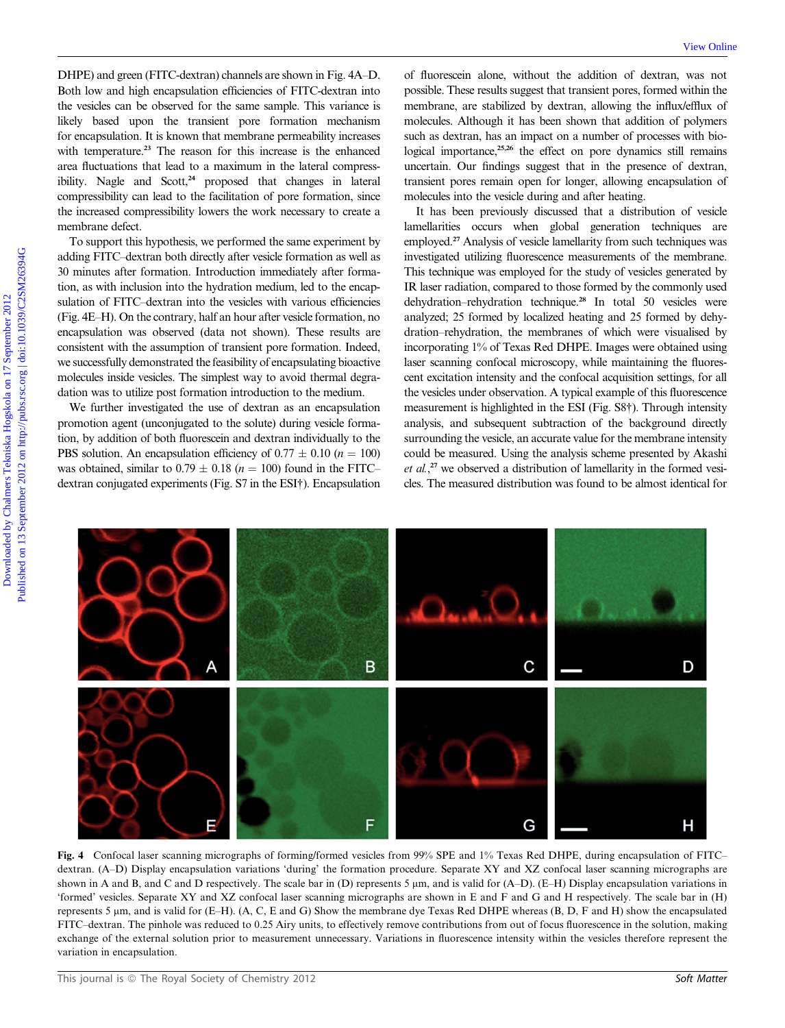DHPE) and green (FITC-dextran) channels are shown in Fig. 4A–D. Both low and high encapsulation efficiencies of FITC-dextran into the vesicles can be observed for the same sample. This variance is likely based upon the transient pore formation mechanism for encapsulation. It is known that membrane permeability increases with temperature.<sup>23</sup> The reason for this increase is the enhanced area fluctuations that lead to a maximum in the lateral compressibility. Nagle and Scott.<sup>24</sup> proposed that changes in lateral compressibility can lead to the facilitation of pore formation, since

To support this hypothesis, we performed the same experiment by adding FITC–dextran both directly after vesicle formation as well as 30 minutes after formation. Introduction immediately after formation, as with inclusion into the hydration medium, led to the encapsulation of FITC–dextran into the vesicles with various efficiencies (Fig. 4E–H). On the contrary, half an hour after vesicle formation, no encapsulation was observed (data not shown). These results are consistent with the assumption of transient pore formation. Indeed, we successfully demonstrated the feasibility of encapsulating bioactive molecules inside vesicles. The simplest way to avoid thermal degradation was to utilize post formation introduction to the medium.

the increased compressibility lowers the work necessary to create a

membrane defect.

We further investigated the use of dextran as an encapsulation promotion agent (unconjugated to the solute) during vesicle formation, by addition of both fluorescein and dextran individually to the PBS solution. An encapsulation efficiency of  $0.77 \pm 0.10$  ( $n = 100$ ) was obtained, similar to  $0.79 \pm 0.18$  ( $n = 100$ ) found in the FITC– dextran conjugated experiments (Fig. S7 in the ESI†). Encapsulation

of fluorescein alone, without the addition of dextran, was not possible. These results suggest that transient pores, formed within the membrane, are stabilized by dextran, allowing the influx/efflux of molecules. Although it has been shown that addition of polymers such as dextran, has an impact on a number of processes with biological importance,<sup>25,26</sup> the effect on pore dynamics still remains uncertain. Our findings suggest that in the presence of dextran, transient pores remain open for longer, allowing encapsulation of molecules into the vesicle during and after heating.

It has been previously discussed that a distribution of vesicle lamellarities occurs when global generation techniques are employed.<sup>27</sup> Analysis of vesicle lamellarity from such techniques was investigated utilizing fluorescence measurements of the membrane. This technique was employed for the study of vesicles generated by IR laser radiation, compared to those formed by the commonly used dehydration–rehydration technique.<sup>28</sup> In total 50 vesicles were analyzed; 25 formed by localized heating and 25 formed by dehydration–rehydration, the membranes of which were visualised by incorporating 1% of Texas Red DHPE. Images were obtained using laser scanning confocal microscopy, while maintaining the fluorescent excitation intensity and the confocal acquisition settings, for all the vesicles under observation. A typical example of this fluorescence measurement is highlighted in the ESI (Fig. S8†). Through intensity analysis, and subsequent subtraction of the background directly surrounding the vesicle, an accurate value for the membrane intensity could be measured. Using the analysis scheme presented by Akashi et al., <sup>27</sup> we observed a distribution of lamellarity in the formed vesicles. The measured distribution was found to be almost identical for DHFE) and general FITC desistant channels are above in Fig. 44. D. of fluencesiin interaction are as the chalmer of the base on 18 September 2012 Published and consider a method of position in the term and the set of the



Fig. 4 Confocal laser scanning micrographs of forming/formed vesicles from 99% SPE and 1% Texas Red DHPE, during encapsulation of FITC– dextran. (A–D) Display encapsulation variations 'during' the formation procedure. Separate XY and XZ confocal laser scanning micrographs are shown in A and B, and C and D respectively. The scale bar in  $(D)$  represents 5  $\mu$ m, and is valid for  $(A-D)$ .  $(E-H)$  Display encapsulation variations in 'formed' vesicles. Separate XY and XZ confocal laser scanning micrographs are shown in E and F and G and H respectively. The scale bar in (H) represents 5  $\mu$ m, and is valid for (E–H). (A, C, E and G) Show the membrane dye Texas Red DHPE whereas (B, D, F and H) show the encapsulated FITC–dextran. The pinhole was reduced to 0.25 Airy units, to effectively remove contributions from out of focus fluorescence in the solution, making exchange of the external solution prior to measurement unnecessary. Variations in fluorescence intensity within the vesicles therefore represent the variation in encapsulation.